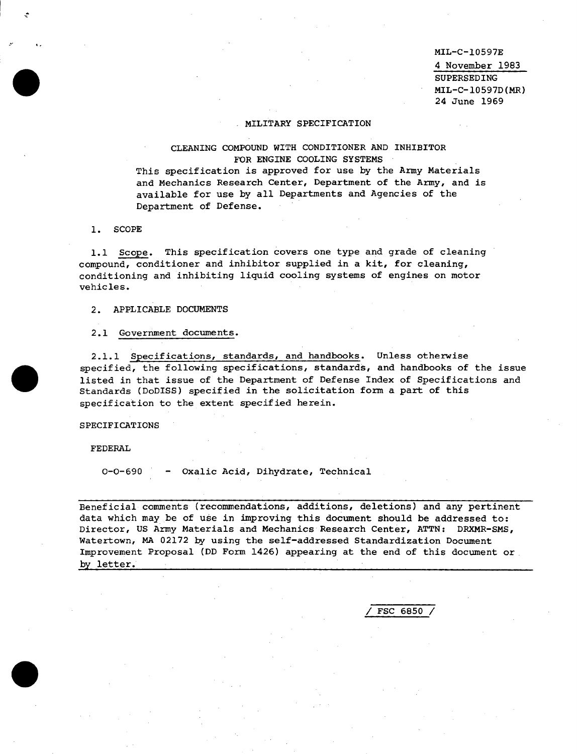**MIL-C-10597E** *4* November 1983 SUPERSEDING **MIL-C-10597D(MR) 24** June *1969*

# **MILITARY SPECIFICATION**

CLEANING COMPOUND WITH CONDITIONER AND INHIBIT FOR **ENGINE COOLING SYSTEMS**

This specification is approved for use by the Army Materials and Mechanics Research Center, Department of the Army, and is available for use by all Departments and Agencies of the Department of Defense.

**1.** SCOPE

I

-A.

@

 $\ddot{\phantom{0}}$ 

 $\bullet$ 

. .

**1.1** Scope. This specification **covers** one type and grade of cleaning compound, conditioner and inhibitor supplied in a kit, for cleaning, conditioning and inhibiting liquid cooling systems of engines on motor vehicles.

*2.* APPLICABLE DOCUMENTS

2.1 Government documents.

*2.1.1* Specifications, standards, and handbooks. Unless otherwise specified, the following specifications, standards, and handbooks of the issue listed in that issue of the Department of Defense Index of Specifications and Standards (DoDISS) specified in the solicitation form a part of this specification to the extent specified herein.

SPECIFICATIONS

FEDERAL

0-0-690 - **Oxalic** Acid, Dihydrate, Technical

**Beneficial comments (recommendations, additions, deletions) and any pertinent data which may be of use in improving this document should be addressed to:** Director, US Army Materials and Mechanics Research Center, ATTN: DRXMR-SMS, Watertown, MA 02172 by using the self-addressed Standardization Document Improvement Proposal **(DD Form 1426)** appearing at the end of this document or by letter.

**/** FSC **6850 /**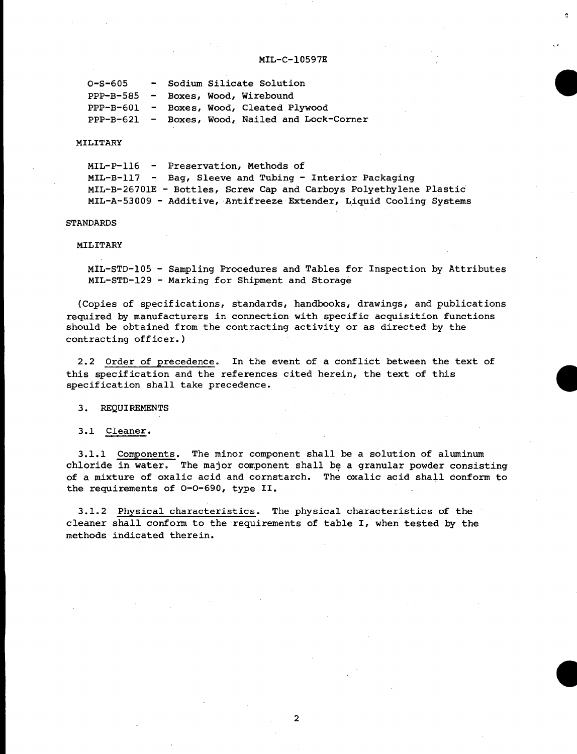. .,

ė

```
0-s-605 - Sodium Silicate Solution
PPP-B-585 - Boxes, Wood, Wirebound
PPP-B-601 - Boxes, Wood, Cleated Plywood
PPP-B-621 - Boxes, Wood, Nailed and Lock-Comer
```
#### MILITARY

**MIL-P-116 - Preservation, Methods of MIL-B-117 - Bag, Sleeve and Tubing - Interior Packaging MIL-B-26701E - Bottles, Screw Cap and Carboys Polyethylene Plastic MIL-A-53009 - Additive, Antifreeze Extender, L,iquid Cooling Systems**

# **STANDARDS**

### MILITARY

**MIL-STD-105 - Sampling Procedures and Tables for Inspection by Attributes MIL-sTD-129 - Marking for Shipment and Storage**

(Copies of specifications, standards~ handbooks~ drawings~ and publications required by manufacturers in connection with specific acquisition functions should be obtained from the contracting activity or as directed by the contracting officer.)

**2.2 Order of precedence. In the event of a conflict between the text of this specification and the references cited herein, the text of this specification shall take precedence.**

### *3.* **REQUIREMENTS**

### **3.1 Cleaner.**

**3.1.1 Components. The minor component shall be a solution of aluminum chloride in water. The major component shall be a granular powder consisting of a mixture of oxalic acid and cornstarch. The oxalic acid shall conform to the requirements of 0-0-690, type II.**

**3.1.2 Physical characteristics. The physical characteristics of the cleaner shall confoxm to the requirements of table I, when tested by the methods indicated therein.**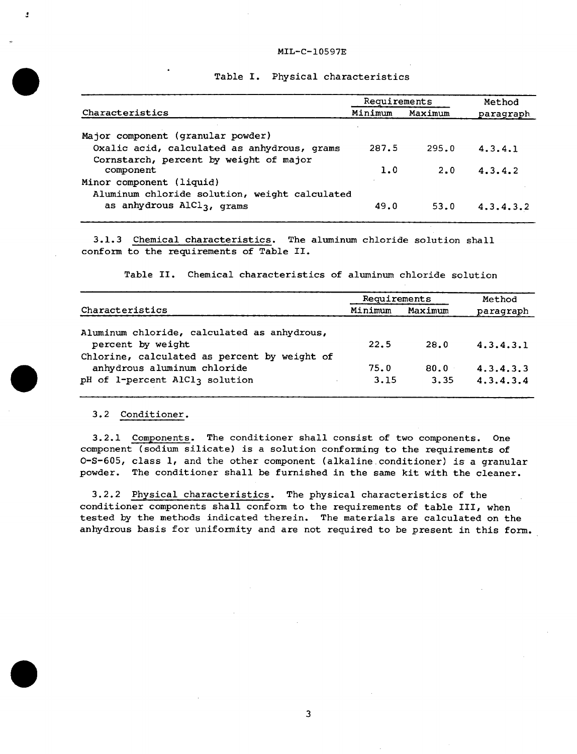|                                               | Requirements |         | Method        |  |
|-----------------------------------------------|--------------|---------|---------------|--|
| Characteristics                               | Minimum      | Maximum | paragraph     |  |
| Major component (granular powder)             |              |         |               |  |
| Oxalic acid, calculated as anhydrous, grams   | 287.5        | 295.0   | 4.3.4.1       |  |
| Cornstarch, percent by weight of major        |              |         |               |  |
| component                                     | 1.0          | 2.0     | 4.3.4.2       |  |
| Minor component (liquid)                      |              |         |               |  |
| Aluminum chloride solution, weight calculated |              |         |               |  |
| as anhydrous AlCl <sub>3</sub> , grams        | 49.0         | 53.0    | 4, 3, 4, 3, 2 |  |

**Table I. Physical characteristics**

**3.1.3 Chemical characteristics. The aluminum chloride solution shall confom to the requirements of Table II.**

**Table II. Chemical characteristics of aluminum chloride solution**

|                                                                   | Requirements |         | Method    |
|-------------------------------------------------------------------|--------------|---------|-----------|
| Characteristics                                                   | Minimum      | Maximum | paragraph |
| Aluminum chloride, calculated as anhydrous,                       |              |         |           |
| percent by weight<br>Chlorine, calculated as percent by weight of | 22.5         | 28.0    | 4.3.4.3.1 |
| anhydrous aluminum chloride                                       | 75.0         | 80.0    | 4.3.4.3.3 |
| pH of 1-percent AlCl3 solution                                    | 3.15         | 3.35    | 4.3.4.3.4 |

#### *3.2* **Conditioner.**

 $\ddot{\phantom{a}}$ 

 $\bullet$ 

ż

**3.2.1 Components. The conditioner shall consist of two components. One component (sodium silicate) is a solution conforming to the requirements of 0-S-605, class 1, and the other component (alkaline .conditioner) is a granular powder. The conditioner shall be furnished in the same kit with the cleaner.**

**3.2.2 Physical characteristics. The physical characteristics of the conditioner components shall confozm to the requirements of table III, when tested by the methods indicated therein. The materials are calculated on the anhydrous basis for uniformity and are not required to be present in this form.**

**3**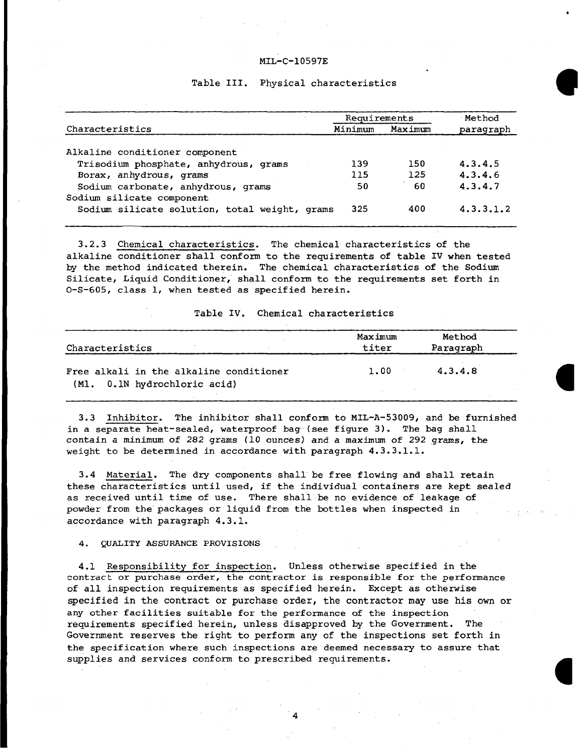# **Table III. Physical characteristics**

|                                               | Requirements |         | Method    |  |
|-----------------------------------------------|--------------|---------|-----------|--|
| Characteristics                               | Minimum      | Maximum | paragraph |  |
| Alkaline conditioner component                |              |         |           |  |
| Trisodium phosphate, anhydrous, grams         | 139          | 150     | 4.3.4.5   |  |
| Borax, anhydrous, grams                       | 115          | 125     | 4.3.4.6   |  |
| Sodium carbonate, anhydrous, grams            | 50           | 60      | 4.3.4.7   |  |
| Sodium silicate component                     |              |         |           |  |
| Sodium silicate solution, total weight, grams | 325          | 400     | 4.3.3.1.2 |  |
|                                               |              |         |           |  |

**3.2.3 Chemical characteristics. The chemical characteristics of the alkaline conditioner shall conform to the requirements of table IV when tested by the method indicated therein. The chemical characteristics of the Sodium Silicate, Liquid Conditioner, shall conform to the requirements set forth in 0-S-605, class 1, when tested as specified herein.**

**Table IV. Chemical characteristics**

| Characteristics                                                         | Maximum<br>titer | Method<br>Paragraph |  |
|-------------------------------------------------------------------------|------------------|---------------------|--|
| Free alkali in the alkaline conditioner<br>(Ml. 0.1N hydrochloric acid) | 1.00             | 4.3.4.8             |  |
|                                                                         |                  |                     |  |

**3.3 Inhibitor. The inhibitor shall conform to MIL-A-53009, and be furnished in a separate heat-sealed, waterproof bag (see figure 3). The bag shall contain a minimum of 282 grams (10 ounces) and a maximum of 292 grams,** the **weight to be determined in accordance with paragraph 4.3.3.1.1.**

**3.4 Material. The dry components shall'be free flowing and shall retain these characteristics until used, if the individual containers are kept sealed as received until time of use. There shall be no evidence of leakage of powder from the'packages or liquid from the bottles when inspected in accordance with paragraph 4.3.1.**

**,'**

**4. QUALITY ASSURANCE PROVISIONS**

**4.1 Responsibility for inspection. Unless otherwise specified in the contract or purchase order, the contractor is responsible for the performance of all inspection requirements as specified herein. Except as otherwise specified in the contract or purchase order, the contractor may use his own or any other facilities suitable for the performance of the inspection requirements specified herein~ unless disapproved by the Government. The Government reserves the right to perform any of the inspections set forth in the specification where such inspections are deemed necessary to assure that supplies and services conform to prescribed requirements.**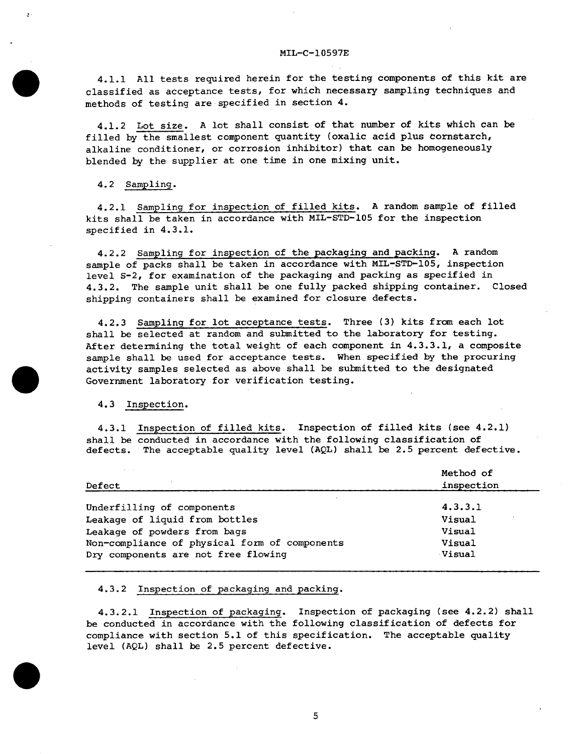**4.1.1 All tests required herein for the testing components of this kit are classified as acceptance tests~ for which necessary sampling techniques and methods of testing are specified in section 4.**

**4.1.2** Lot size. A lot **shall consist of that number of kits which can be filled by the smallest component quantity (oxalic acid plus eomstarch, alkaline conditioner, or corrosion inhibitor) that can be homogeneously blended by the supplier at one time in one mixing unit.**

**4.2 Sampling.**

 $\bullet$ 

**4.2.1 Sampling for inspection of filled kits. A random sample of filled kits shall be taken in accordance with MIL-STD-105 for the inspection specified in 4.3.1.**

**4.2.2 Sampling for inspection of the packaging and packing. A random sample of packs shall be taken in accordance with MIL-STD-105, inspection level S-2, for examination of the packaging and packing as specified in 4.3.2. The sample unit shall be one fully packed shipping container. Closed shipping containers shall be examined for closure defects.**

**4.2.3 Sampling for lot acceptance tests. Three (3) kits from each lot shall be selected at random and submitted to the laboratory for testing. After determining the total weight of each component in 4.3.3.1, a composite sample shall be used for acceptance tests. When specified by the procuring** activity samples selected as above shall be submitted to the designated Government laboratory for verification testing.

*4.3* **Inspection.**

**4.3.1 Inspection of filled kits. Inspection of filled kits (see 4.2.1) shall be conducted in accordance with the following classification of defects. The acceptable quality level (AQL) shall be 2.5 percent defective.**

| All Corp.<br>Defect                           | Method of<br>inspection |  |
|-----------------------------------------------|-------------------------|--|
| Underfilling of components                    | 4.3.3.1                 |  |
| Leakage of liquid from bottles                | Visual                  |  |
| Leakage of powders from bags                  | Visual                  |  |
| Non-compliance of physical form of components | Visual                  |  |
| Dry components are not free flowing           | Visual                  |  |

# **4.3.2 Inspection of packaging and packing.**

**4.3.2.1 Inspection of packaging. Inspection of packaging (see 4.2.2) shall be conducted in accordance with the following classification of defects for compliance with section 5.1 of this specification. The acceptable quality level (AQL) shall be 2.5 percent defective.**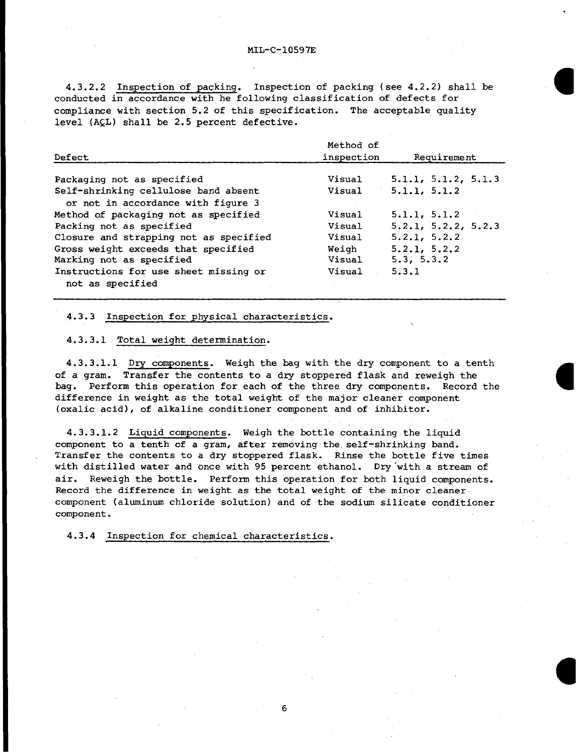**4.3.2.2 Inspection of packing. Inspection of packing (see 4.2.2) shall be conducted in accordance with he following classification of defects for compliance with section 5.2 of this specification. The acceptable quality level (AQL) shall be 2.5 percent defective.**

|                                        | Method of  |                           |  |
|----------------------------------------|------------|---------------------------|--|
| Defect                                 | inspection | Requirement               |  |
|                                        |            |                           |  |
| Packaging not as specified             | Visual     | 5.1.1, 5.1.2, 5.1.3       |  |
| Self-shrinking cellulose band absent   | Visual     | 5.1.1, 5.1.2              |  |
| or not in accordance with figure 3     |            |                           |  |
| Method of packaging not as specified   | Visual     | 5.1.1, 5.1.2              |  |
| Packing not as specified               | Visual     | 5, 2, 1, 5, 2, 2, 5, 2, 3 |  |
| Closure and strapping not as specified | Visual     | 5.2.1, 5.2.2              |  |
| Gross weight exceeds that specified    | Weigh      | 5.2.1, 5.2.2              |  |
| Marking not as specified               | Visual     | 5.3, 5.3.2                |  |
| Instructions for use sheet missing or  | Visual     | 5.3.1                     |  |
| not as specified                       |            |                           |  |

# **4.3.3 Inspection for physical characteristics.**

# **4.3.3.1 Total weight determination.**

**4.3.3.1.1 Dry components. Weigh the bag with the dry component to a tenth of a gram. Transfer the contents to a dry stoppered flask and reweigh the bag. Perform this operation for each of the three dry components. Record the difference in weight as the total weight of the major cleaner component (oxalic acid), of alkaline conditioner component and of inhibitor.**

**,.**

**4.3.3.1.2 Liquid com~onents. Weigh the bottle containing the liquid component to a tenth of a gram, after removing the.self-shrinking band. Transfer the contents to a dry stoppered flask. Rinse the bottle five times with distilled water and once with 95 percent ethanol. Dg' 'with a stream of air. Reweigh the bottle. Perform this operation for both liquid components. Record the difference in weight as the total weight of the minor cleaner component (aluminum chloride solution) and of the sodium silicate conditioner component.**

**4.3.4 Inspection for chemical characteristics.**

**6**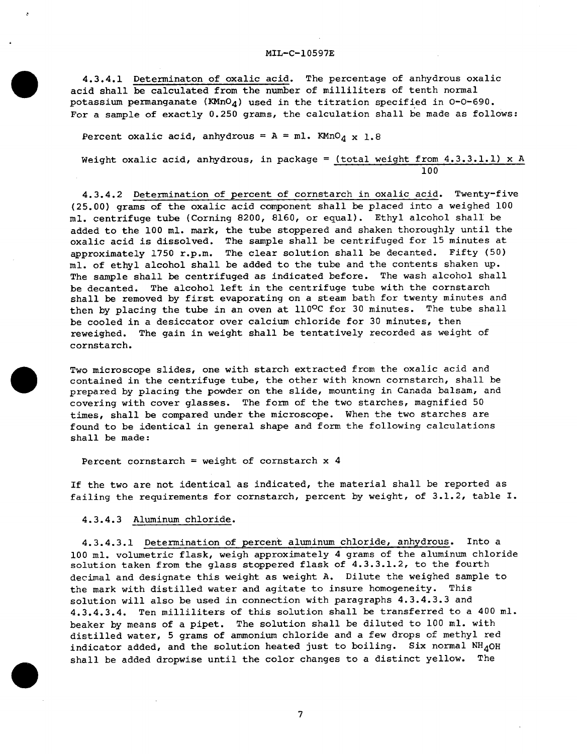**4.3.4.1 Determination of oxalic acid. The percentage of anhydrous oxalic acid shall be calculated from the number of milliliters of tenth normal potassium permanganate (KMn04) used in the titration specified in 0-0-690. For a sample of exactly 0.250 grams, the calculation shall be made as follows:**

**Percent oxalic acid, anhydrous** =  $A = mL$ **. KMnO<sub>4</sub>** x 1.8

.

 $\bullet$ 

 $\bullet$ 

**a**

.

**Weight oxalic acid, anhydrous, in package = (total weight from 4.3.3.1.1) x A 100**

**4.3.4.2 Determination of percent of cornstarch in oxalic acid. Twenty-five (25.00) grams of the oxalic acid component shall be placed into a weighed 100 ml. centrifuge tube (Corning 8200, 8160, or equal). Ethyl alcohol shalI be added to the 100 ml. mark, the tube stoppered and shaken thoroughly until the oxalic acid is dissolved. The sample shall be centrifuged for 15 minutes at approximately 1750 r.p.m. The clear solution shall be decanted. Fifty (50) ml. of ethyl alcohol shall be added to the tube and the contents shaken up. The sample shall be centrifuged as indicated before. The wash alcohol shall be decanted. The alcohol left in the centrifuge tube with the cornstarch shall be removed by first evaporating on a steam bath for twenty minutes and then by placing the tube in an oven at llO°C for 30 minutes. The tube shall be cooled in a desiccator over calcium chloride for 30 minutes, then reweighed. The gain in weight shall be tentatively recorded as weight of cornstarch.**

**Two microscope slides, one with starch extracted from the oxalic acid and contained in the centrifuge tube, the other with known cornstarch, shall be prepared by placing the powder on the slide, mounting in Canada balsam, and covering with cover glasses. The form of the two starches, magnified 50 times, shall be compared under the microscope. When the two starches are found to be identical in general shape and form the following calculations shall be made:**

**percent cornstarch = weight of cornstarch x 4**

**If the two are** not identical as indicated, the material shall be reported as failing the requirements for cornstarch, percent by weight, of 3.1.2, table I.

### *4.3.4.3* Aluminum chloride.

**4.3.4.3.1 Determination of percent aluminum chloride, anhydrous. Into a 100 ml. volumetric flask, weigh approximately 4 grams of the aluminum chloride solution taken from the glass stoppered flask of 4.3.3.1.2, to the fourth decimal and designate this weight as weight A. Dilute the weighed sample to the mark with distilled water and agitate to insure homogeneity. This solution will also be used in connection with paragraphs 4.3.4.3.3 and 4.3.4.3.4. Ten milliliters of this solution shall be transferred to a 400 ml. beaker by means of a pipet. The solution shall be diluted to 100 ml. with distilled water, 5 grams of ammonium chloride and a few drops of methyl red indicator addedr and the solution heated just to boiling. Six normal NI-140H shall be added dropwise until the color changes to a distinct yellow.** The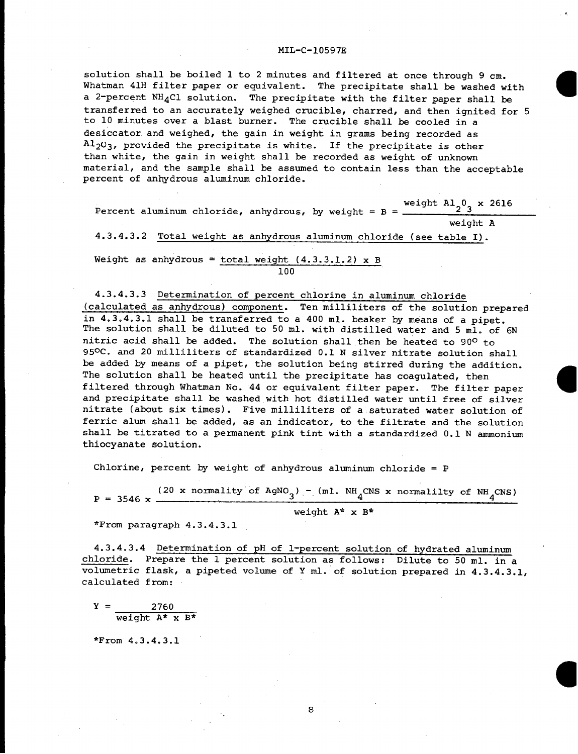**a**

**solution shall be boiled 1 to 2 minutes and filtered at once through 9 cm. Whatman 41H filter paper or equivalent. The precipitate shall be washed with a 2-percent NH4C1 solution. The precipitate with the filter paper shall be transferred to an accurately weighed crucible, charred, and then ignited for 5 to 10 minutes over a blast burner. The crucible shall be cooled in a desiccator and weighed, the gain in weight in grams being recorded as A~203, provided the precipitate is white. If the precipitate is other than white, the gain in weight shall be recorded as weight of unknown material, and the sample shall be assumed to contain less than the acceptable percent of anhydrous aluminum chloride.**

**weight A1203 x 2616 Percent** aluminum chloride, anhydrous, by weight =  $B =$ **weight A 4.3.4.3.2 Total weight as anhydrous aluminum chloride (see table I). Weight as anhydrous = total weight (4.3.3.1.2) x B 100**

**4.3.4.3.3 Determination of percent chlorine in aluminum chloride (calculated as anhydrous) component. Ten milliliters of the solution prepared in 4.3.4.3.1 shall be transferred to a 400 ml. beaker by means of a pipet. The solution shall be diluted to 50 ml. with distilled water and 5 ml. of 6N nitric acid shall be added. The solution shall then be heated to 90° to 95°C. and 20 milliliters of standardized 0.1 N silver nitrate solution shall be added by means of a pipet, the solution being stirred during the addition.** The solution shall be heated until the precipitate has coagulated, then filtered through Whatman No. 44 or equivalent filter paper. The filter paper and precipitate shall be washed with hot distilled water until free of silver nitrate (about six times). Five milliliters of a saturated water solution of ferric alum shall be added, as an indicator, to the filtrate and the solution shall be titrated to a permanent pink tint with a standardized 0.1 N ammonium thiocyanate solution.

**Chlorine, percent by weight of anhydrous aluminum chloride = P**

(20 **x** normality of  $\text{AgNO}_3$ ) - (ml.  $\text{NH}_4\text{CNS}$  **x** normalilty of  $\text{NH}_4\text{CNS}$ )  $P = 3546$  x  $$ **weight A\* x B\***

**\*From paragraph 4.3.4.3.1**

**4.3.4.3.4 Determination of pH of l-percent solution of hydrated aluminum chloride. Prepare the 1 percent solution as follows: Dilute to 50 ml. in a volumetric flask, a pipeted volume of Y ml. of solution prepared in 4.3.4.3.1, calculated from:**

**Y= 2760 weight A\* x B\***

\*From 4.3.4.3.1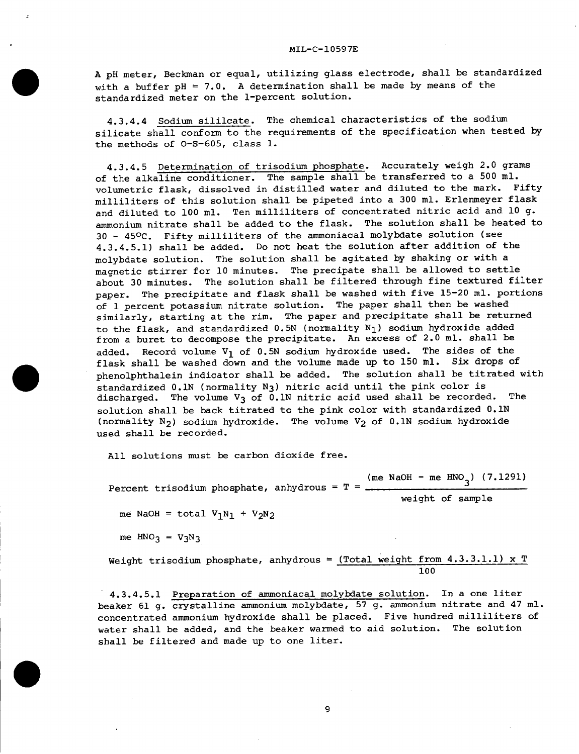**A pH meter, Beckman or equal, utilizing glass electrode~ shall be standardized with a buffer pH = 7.0.** <sup>A</sup> **determination shall be made by means of the standardized meter on the l-percent solution.**

**4.3.4.4 Sodium sililcate. The chemical characteristics of the sodium silicate shall conform to the requirements of the specification when tested by the methods of 0-S-605, class 1.**

**4.3.4.5 Determination of trisodium phosphate. Accurately weigh 2.0 grams of the alkaline conditioner. The sample shall be transferred to a 500 ml. volumetric flask, dissolved in distilled water and diluted to the mark. Fifty milliliters of this solution shall be pipeted into a 300 ml. Erlenmeyer flask and diluted to 100 ml. Ten milliliters of concentrated nitric acid and 10 g. ammonium nitrate shall be added to the flask. The solution shall be heated to 30 - 450C . Fifty milliliters of the ammoniacal molybdate solution (see 4.3.4.5.1) shall be added. Do not heat the solution after addition of the molybdate solution. The solution shall be agitated by shaking or with a magnetic stirrer for 10 minutes. The precipate shall be allowed to settle about 30 minutes. The solution shall be filtered through fine textured filter paper. The precipitate and flask shall be washed with five 15-20 ml. portions of 1 percent potassium nitrate solution. The paper shall then be washed similarly, starting at the rim. The paper and precipitate shall be returned to the flask, and standardized 0.5N (normality Nl) sodium hydroxide added from a buret to decompose the precipitate. An excess of 2.0 ml. shall be added. Record volume V~ of 0.5N sodium hydroxide used. The sides of the flask shall be washed down and the volume made up to 150 ml. S& drops of phenolphthalein indicator shall be added. The solution shall be titrated with standardized O.lN (normality N3) nitric acid until the pink color is discharged. The volume V3 of O.lN nitric acid used shall be recorded. The solution shall be back titrated to the pink color with standardized O.lN (normality N2) sodium hydroxide. The volume V2 of O.lN sodium hydroxide used shall be recorded.**

**All solutions must be carbon dioxide free.**

**(me NaOH - me HN03) (7.1291) Percent trisodium phosphate, anhydrous = T =**

**weight of sample**

 $me$  **NaOH** = **total**  $V_1N_1 + V_2N_2$ 

 $me$   $HNO_3 = V_3N_3$ 

.

 $\bullet$ 

**Weight trisodium phosphate, anhydrous = (Total weight from 4.3.3.1.1) x T 100**

**4.3.4.5.1 Preparation of ammoniacal molybdate solution. In a one liter beaker 61 g. crystalline ammonium molybdate~ 57 g. ammonium nitrate and 47** ml. **concentrated ammonium hydroxide shall be placed. Five hundred milliliters ofwater shall be added, and the beaker warmed to aid solution. The solution shall be filtered and made up to one liter.**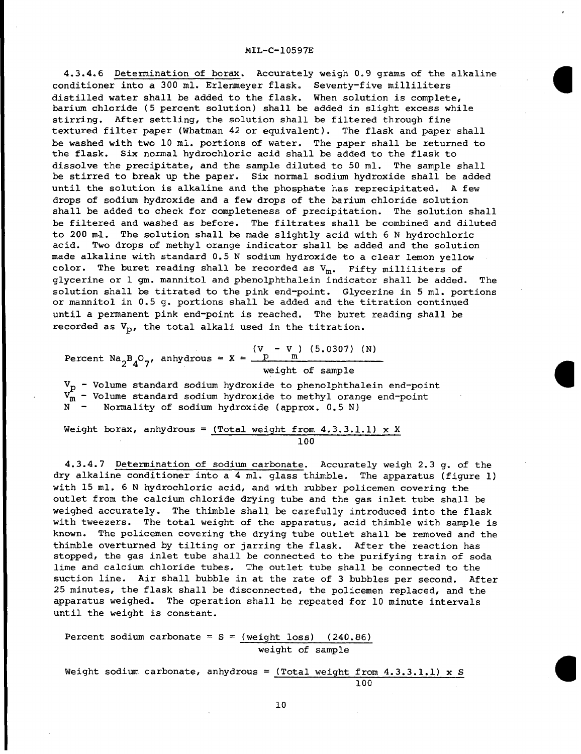**4.3.4.6 Determination of borax. Accurately weigh 0.9 grams of the alkaline conditioner into a 300 ml. Erlenmeyer flask. Seventy-five milliliters distilled water shall be added to the flask. When solution is complete, barium chloride (5 percent solution) shall be added in slight excess while stirring. After settling, the solution shall be filtered through fine textured filter paper (Whatman 42 or equivalent). The flask and paper shall be washed with two 10 mi. portions of water. The paper shall be returned to the flask. Six normal hydrochloric acid shall be added to the flask to dissolve the precipitate, and the sample diluted to 50 ml. The sample shall be stirred to break up the paper. Six normal sodium hydroxide shall be added until the solution is alkaline and the phosphate has reprecipitated. A few drops of sodium hydroxide and a few drops of the barium chloride solution shall be added to check for completeness of precipitation. The solution shall be filtered and washed as before. The filtrates shall be combined and diluted to 200 ml. The solution shall be made slightly acid with 6 N hydrochloric acid. TWO drops of methyl orange indicator shall be added and the solution made alkaline with standard 0.5 N sodium hydroxide to a clear lemon yellow color. The buret reading shall be recorded as Vme Fifty milliliters of glycerine or 1 gm. mannitol and phenolphthalein indicator shall be added. The solution shall be titrated to the pink end-point. Glycerine in 5 ml. portions or mannitol in 0.5 g. portions shall be added and the titration continued until a permanent pink end-point is reached. The buret reading shall be recorded as Vp, the total alkali used in the titration.**

**Percent Na2B407, anhydrous = X**  $=$   $\frac{(\text{V} - \text{V})}{\text{p}}$   $(5.0307)$   $(\text{N})$ **weight of sample**

 $V_{\rm p}$  - Volume standard sodium hydroxide to phenolphthalein end-point - Volume standard sodium hydroxide to methyl Orange end-point N - Normality of sodium hydroxide (approx. 0.5 N)

**Weight borax, anhydrous = (Total weight from 4.3.3.1.1)** <sup>x</sup> **X 100**

**4.3.4.7 Determination of sodium carbonate. Accurately weigh 2.3 g. of the dry alkaline conditioner into a 4 ml. glass thimble. The apparatus (figure 1) with 15 ml. 6 N hydrochloric acid, and with rubber policemen covering the outlet from the calcium chloride drying tube and the gas inlet tube shall be weighed accurately. The thimble shall be carefully introduced into the flask with tweezers. The total weight of the apparatus, acid thimble with sample is known. The policemen covering the drying tube outlet shall be removed and the thimble overturned by tilting or jarring the flask. After the reaction has stopped, the gas inlet tube shall be connected to the purifying train of soda lime and calcium chloride tubes. The outlet tube shall be connected to the suction line. Air shall bubble in at the rate of 3 bubbles per second. After 25 minutes, the flask shall be disconnected, the policemen replaced, and the apparatus weighed. The operation shall be repeated for 10 minute intervals until the weight is constant.**

Percent sodium carbonate =  $S = (weight \text{ loss})$  (240.86) weight of sample

**Weight sodium carbonate,** anhydrous = (Total weight from 4.3.3.1.1) x S 100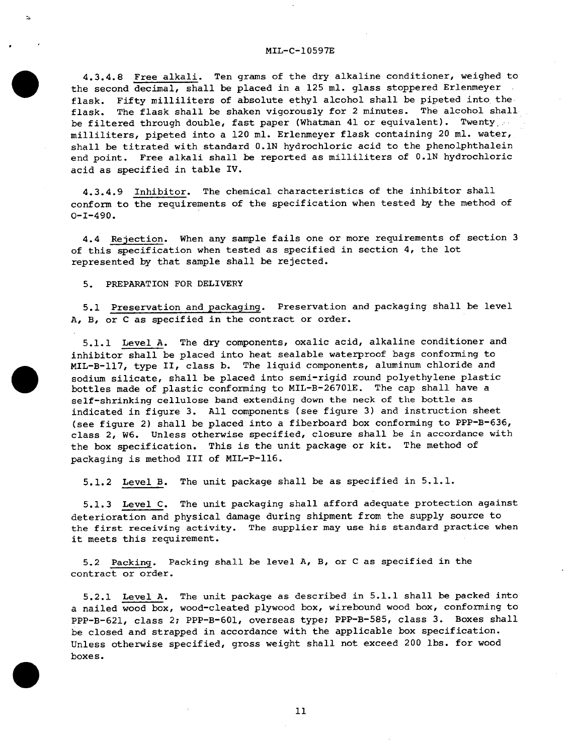**4.3.4.8 Free alkali. Ten grams of the dry alkaline conditioner, weighed to the second decimal, shall be placed in a 125 ml. glass stoppered Erlenmeyer flask. Fifty milliliters of absolute ethyl alcohol shall be pipeted into the flask. The flask shall be shaken vigorously for 2 minutes. The alcohol shall be filtered through double, fast paper (Whatman 41 or equivalent). Twenty, milliliters, pipeted into a 120 ml. Erlenmeyer flask containing 20 ml. water, shall be titrated with standard O.lN hydrochloric acid to the phenolphthalein end point. Free alkali shall be reported as milliliters of O.lN hydrochloric acid as specified in table IV.**

**4.3.4.9 Inhibitor. The chemical characteristics of the inhibitor shall conform to the requirements of the specification when tested by the method of 0-1-490.**

**4.4 Rejection. When any sample fails one or more requirements of section 3 of this specification when tested as specified in section 4, the lot represented by that sample shall be rejected.**

# *5.* **PREPARATION FOR DELIVERY**

,

 $\bullet$ 

 $\bullet$ 

*5.1* **Preservation and packaging. Preservation and packaging shall be level A, B, or C as specified in the contract or order.**

**5.1.1 Level A. The dry components, oxalic acid, alkaline conditioner and inhibitor shall be placed into heat sealable waterproof bags conforming to MIL-B-117, type II, class b. The liquid components, aluminum chloride and sodium silicate, shall be placed into semi-rigid round polyethylene plastic bottles made of plastic conforming to MIL-B-26701E. The cap shall have a self-shrinking cellulose band extending down the neck of the bottle as indicated in figure 3. All components (see figure 3) and instruction sheet (see figure 2) shall be placed into a fiberboard box conforming to PPP-B-636, class 2, w6. Unless otherwise specified, closure shall be in accordance with the box specification. This is the unit package or kit. The method of packaging is method III of MIL-P-116.**

5.1.2 Level B. The unit package shall be as specified in 5.1.1.

**5.1.3 Level C. The unit packaging shall afford adequate protection against deterioration and physical damage during shipment from the supply source to the first receiving activity. The supplier may use his standard practice when it meets this requirement.**

**5.2 Packing. Packing shall be level A, B, or C as specified in the contract or order.**

**5.2.1 Level A. The unit package as described in 5.1.1 shall be packed into a nailed wood box, wood-cleated plywood box, wirebound wood box, conforming to PPP-B-621, class 2; PPP-B-601, overseas type; ppp-B-585, class 3. Boxes shall be closed and strapped in accordance with the applicable box specification. Unless otherwise specified, gross weight shall not exceed 200 lbs. for wood boxes.**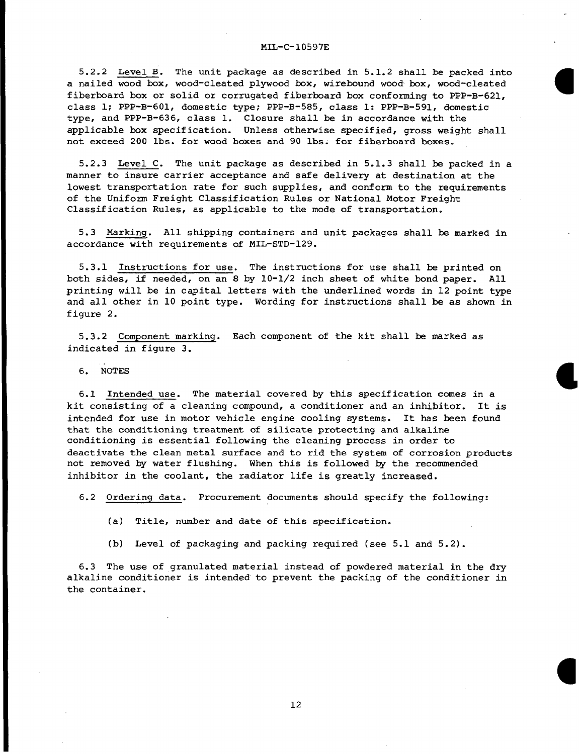**5.2.2 Level B. The unit package as described in 5.1.2 shall be packed into a nailed wood box, wood-cleated plywood box, wirebound wood box, wood-cleated fiberboard box or solid or corrugated fiberboard box conforming to PPP-B-621, a class 1; PPP-B-601, domestic type; PPP-B-585, class 1: PPP-B-591, domestic type, and PPP-B-636, class 1. Closure shall be in accordance with the applicable kox specification. Unless otherwise specified, gross weight shall not exceed 200 lbs. for wood boxes and 90 lbs. for fiberboard boxes.**

**5.2.3 Level C. The unit package as described in 5.1.3 shall ke packed in a manner to insure carrier acceptance and safe delivery at destination at the lowest transportation rate for such supplies, and conform to the requirements of the Uniform Freight Classification Rules or National Motor Freight Classification Rules, as applicable to the mode of transportation.**

**5.3 Marking. All shipping containers and unit packages shall be marked in accordance with requirements of MIL-sTD-129.**

**5.3.1 Instructions for use. The instructions for use shall be printed on both sides, if needed, on an 8 by** 10-1/2 **inch sheet of white bond paper. All printing will be in capital letters with the underlined words in 12 point type and all other in 10 point type. Wording for instructions shall be as shown in figure 2.**

**5.3.2 Component marking. Each component of the kit shall be marked as indicated in figure 3.**

**6. NoTEs**

**6.1 Intended use. The material covered by this specification comes in <sup>a</sup>** ● **kit consisting of a cleaning compound, a conditioner and an inhibitor. It is intended for use in motor vehicle engine cooling systems. It has** been **found that the conditioning treatment of silicate protecting and alkaline conditioning is essential following the cleaning process in order to deactivate the clean metal surface and to rid the system of corrosion products not removed by water flushing. When this is followed by the recommended inhibitor in the coolant, the radiator life is greatly increased.**

**6.2 Ordering data. Procurement documents should specify the following:**

**(a) Title, number and date of this specification.**

**(b) Level of packaging and packing required (see 5.1 and 5.2).**

**6.3 The use of granulated material instead of powdered material in the dxy alkaline conditioner is intended to prevent the packing of the conditioner in the container.**

**12**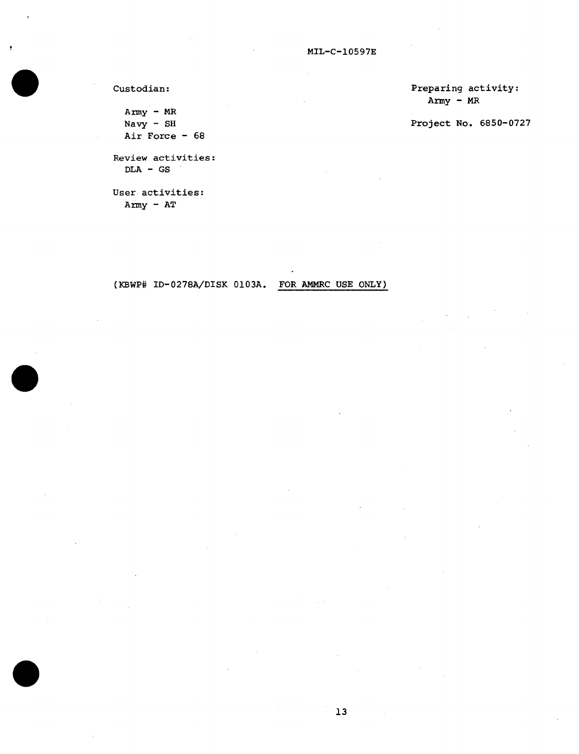**Custodian:**

 $A$ rmy - MR **Navy - SH Air Force - 68**

**Review activities: DLA - GS**

**User activities: Army - AT**

**Preparing activity: Army - MR**

**Project No. 6850-0727**

**(KBWP# ID-0278A/DIsK O1O3A. FOR AMMRC USE ONLY)**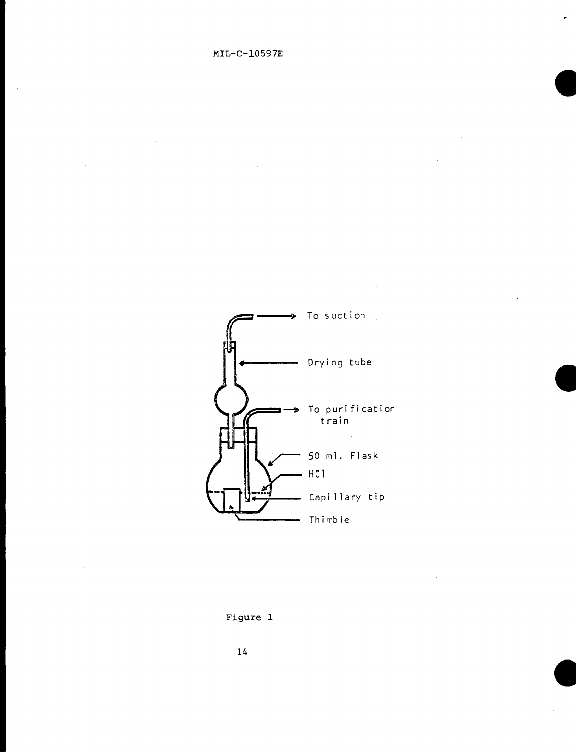$\ddot{\phantom{0}}$ 

 $\mathcal{L}^{\text{max}}$ 



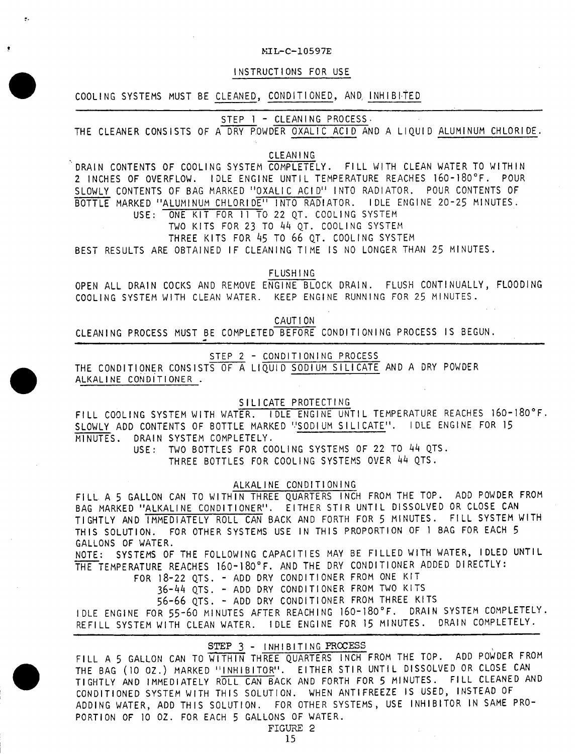# YiL-c-lo597E

### **INSTRUCTIONS FOR USE**

# **COOLING SYSTEMS MUST BE CLEANED, CONDITIONED, AND; INHIBITED**

:.

\*

**STEP 1 - CLEANING PROCESS.**

**THE CLEANER CONSISTS OF A DRY POWDER OXALIC ACID AND A LIQUID ALUMINUM CHLORIDE.**

# **CLEANING**

**'"DRAIN CONTENTS OF COOLING SYSTEM COMPLETELY. FILL WITH CLEAN WATER TO WITHIN 2 INCHES OF OVERFLOW. IDLE ENGINE UNTIL TEMPERATURE REACHES 160-180"F. POUR SLOWLY CONTENTS OF BAG MARKED "OXALIC ACID" INTO RAOIATOR. POUR CONTENTS OF BOTTLE MARKED "ALUMINUM CHLORIDE" INTO RADIATOR. IDLE ENGINE 20-25 MINUTES. USE: ONE KIT FOR 11 TO 22 QT. COOLING SYSTEM**

**Two KtTS FOR** 23 To **44 QT. COOLING SYSTEM**

**THREE KITS FOR 45 TO** 66 **QT. COOLING SYSTEM**

**BEST RESULTS ARE OBTAINED IF CLEANING TIME IS NO LONGER THAN 25 MINUTES.**

**FLUSHING**

**OPEN ALL DRAIN COCKS AND REMOVE ENGINE BLOCK DRAIN. FLUSH CONTINUALLY, FLOODING COOLING SYSTEM WITH CLEAN WATER. KEEP ENGINE RUNNING FOR 25 MINUTES.**

**CAUTION**

**CLEANING PROCESS MUST BE COMPLETED BEFORE CONDITIONING PROCESS IS BEGUN.**

**STEP 2 - CONDITIONING PROCESS**

**THE CONDITIONER CONSISTS OF A LIQUID SODIUM SILICATE AND A DRY POWDER ALKALINE CONDITIONER .**

**SILICATE PROTECTING**

**FILL COOLING SYSTEM WITH WATER. IDLE ENGINE UNTIL TEMPERATURE REACHES 160-180"F. SLOWLY ADD CONTENTS OF BOTTLE MARKED 'JSODIUM SILICATE". IDLE ENGINE FOR 15 MINUTES. DRAIN SYSTEM COMPLETELY.**

> **USE: TWO BOTTLES FOR COOLING SYSTEMS OF 22 TO 44 QTS. THREE BOTTLES FOR COOLING SYSTEMS OVER 44 QTS.**

### **ALKALINE CONDITIONING**

**FILL A** 5 **GALLON CAN TO WITHIN THREE QUARTERS INCH FROM THE TOP. ADD POWDER FROM BAG MARKED "ALKALINE CONDITIONER". EITHER STIR UNTIL DISSOLVED OR CLOSE CAN TIGHTLY AND IMMEDIATELY ROLL CAN BACK AND FORTH FOR** 5 **MINUTES. FILL SYSTEM WITH THIS SOLUTION. FOR OTHER SYSTEMS USE IN THIS PROPORTION OF 1 BAG FOR EACH** 5 **GALLONS OF WATER.**

**NOTE : SYSTEMS OF THE FOLLOWING CAPACITIES MAY BE FILLED WITH WATER, IDLED UNTIL -TEMPERATURE REACHES 160-180"F. AND THE DRY CONDITIONER ADDED DIRECTLY:**

**FOR** 18-22**QTS. - ADD DRY CONDITIONER FROM ONE KIT**

**36-44 QTS. - ADD DRY CONDITIONER FROM TWO KITS**

56-66 **QTS . - ADD DRY CONDITIONER FROM THREE KITS IDLE ENGINE FOR** 55-60 **MINUTES AFTER REAcHING** 160-180"F" **DRAIN SYSTEM COMPLETELY. REFILL SYSTEM WITH CLEAN WATER. IDLE ENGINE FOR** 15 **MINUTES. DRAIN COMPLETELY.**

STEP 3 - INHIBITING PROCESS

**FILL A 5 GALLON CAN TO-THREE QUARTERS INCH FROM THE TOP. ADD POWDER FROM THE BAG (10 OZ.) MARKED "INHIBITOR". EITHER STIR UNTIL DISSOLVED OR CLOSE CAN TIGHTLY AND IMMEDIATELY ROLL CAN BACK AND FORTH FOR 5 MINUTES. FILL CLEANED AND CONDITIONED SYSTEM WITH THIS SOLUTION. WHEN ANTIFREEZE Is usED> INSTEAD oF ADDING WATER, ADD THIS SOLUTION. FOR OTHER SYSTEMS, USE INHIBITOR IN SAME PRO-PORTION OF 10 OZ. FOR EACH 5 GALLONS OF WATER.**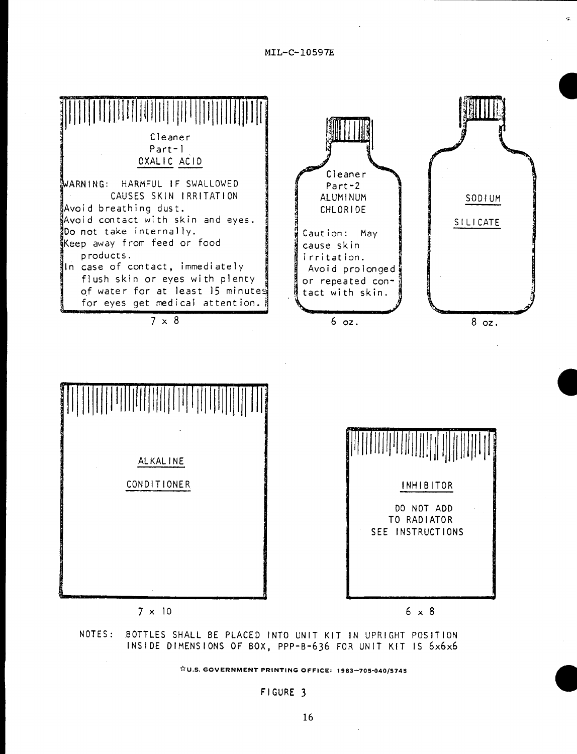

**NOTES : BOTTLES SHALL BE PLACED INTO UNIT KIT IN UPRIGHT POSITION INSIDE DIMENSIONS OF BOX, PPP-B-634 FOR UNIT KIT IS** 6x6x6

 $\overleftrightarrow{x}$ U.S. GOVERNMENT PRINTING OFFICE: 1983-705-040/5745

**FIGURE** 3